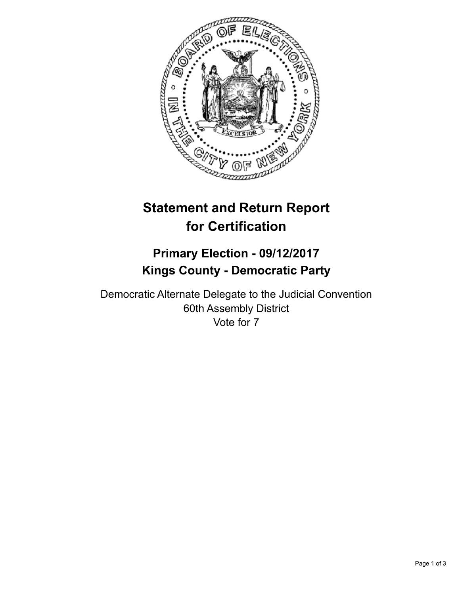

## **Statement and Return Report for Certification**

## **Primary Election - 09/12/2017 Kings County - Democratic Party**

Democratic Alternate Delegate to the Judicial Convention 60th Assembly District Vote for 7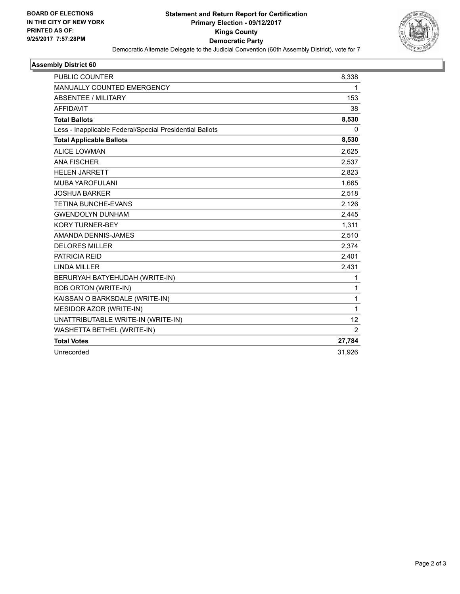

## **Assembly District 60**

| <b>PUBLIC COUNTER</b>                                    | 8,338          |
|----------------------------------------------------------|----------------|
| <b>MANUALLY COUNTED EMERGENCY</b>                        | $\mathbf{1}$   |
| <b>ABSENTEE / MILITARY</b>                               | 153            |
| AFFIDAVIT                                                | 38             |
| <b>Total Ballots</b>                                     | 8,530          |
| Less - Inapplicable Federal/Special Presidential Ballots | 0              |
| <b>Total Applicable Ballots</b>                          | 8,530          |
| <b>ALICE LOWMAN</b>                                      | 2,625          |
| <b>ANA FISCHER</b>                                       | 2,537          |
| <b>HELEN JARRETT</b>                                     | 2,823          |
| <b>MUBA YAROFULANI</b>                                   | 1,665          |
| <b>JOSHUA BARKER</b>                                     | 2,518          |
| <b>TETINA BUNCHE-EVANS</b>                               | 2,126          |
| <b>GWENDOLYN DUNHAM</b>                                  | 2,445          |
| <b>KORY TURNER-BEY</b>                                   | 1,311          |
| AMANDA DENNIS-JAMES                                      | 2,510          |
| <b>DELORES MILLER</b>                                    | 2,374          |
| PATRICIA REID                                            | 2,401          |
| <b>LINDA MILLER</b>                                      | 2,431          |
| BERURYAH BATYEHUDAH (WRITE-IN)                           | 1              |
| <b>BOB ORTON (WRITE-IN)</b>                              | $\mathbf{1}$   |
| KAISSAN O BARKSDALE (WRITE-IN)                           | 1              |
| MESIDOR AZOR (WRITE-IN)                                  | $\mathbf{1}$   |
| UNATTRIBUTABLE WRITE-IN (WRITE-IN)                       | 12             |
| WASHETTA BETHEL (WRITE-IN)                               | $\overline{2}$ |
| <b>Total Votes</b>                                       | 27,784         |
| Unrecorded                                               | 31.926         |